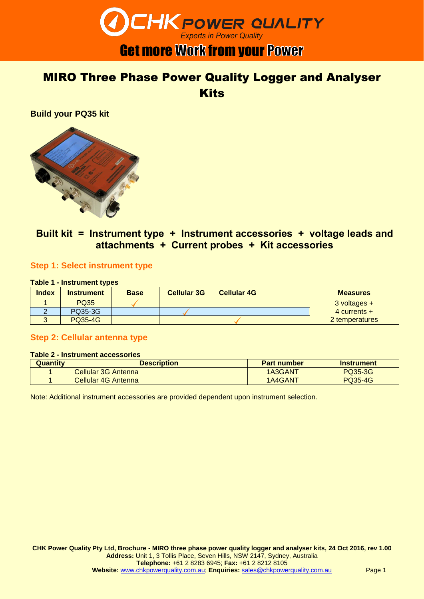

### MIRO Three Phase Power Quality Logger and Analyser **Kits**

**Build your PQ35 kit**



### **Built kit = Instrument type + Instrument accessories + voltage leads and attachments + Current probes + Kit accessories**

#### **Step 1: Select instrument type**

#### **Table 1 - Instrument types**

| <b>Index</b> | <b>Instrument</b> | <b>Base</b> | <b>Cellular 3G</b> | <b>Cellular 4G</b> | <b>Measures</b>  |
|--------------|-------------------|-------------|--------------------|--------------------|------------------|
|              | <b>PQ35</b>       |             |                    |                    | $3$ voltages $+$ |
|              | PQ35-3G           |             |                    |                    | 4 currents $+$   |
|              | <b>PQ35-4G</b>    |             |                    |                    | 2 temperatures   |

#### **Step 2: Cellular antenna type**

#### **Table 2 - Instrument accessories**

| <b>Quantity</b> | <b>Description</b>         | <b>Part number</b> | <b>Instrument</b> |
|-----------------|----------------------------|--------------------|-------------------|
|                 | <b>Cellular 3G Antenna</b> | 1A3GANT            | PQ35-3G           |
|                 | <b>Cellular 4G Antenna</b> | 1A4GANT            | <b>PQ35-4G</b>    |

Note: Additional instrument accessories are provided dependent upon instrument selection.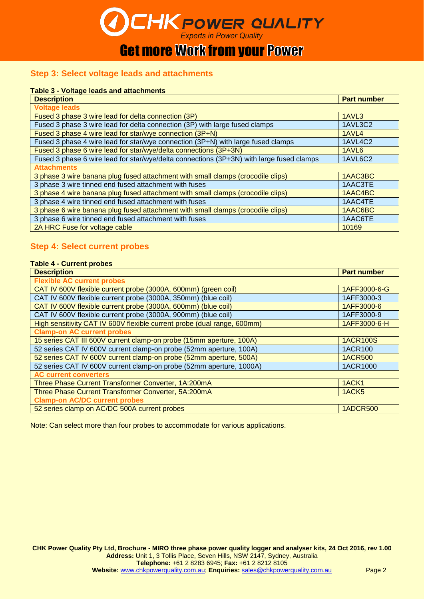**CHK POWER QUALITY Get more Work from your Power** 

#### **Step 3: Select voltage leads and attachments**

#### **Table 3 - Voltage leads and attachments**

| <b>Description</b>                                                                       | <b>Part number</b> |
|------------------------------------------------------------------------------------------|--------------------|
| <b>Voltage leads</b>                                                                     |                    |
| Fused 3 phase 3 wire lead for delta connection (3P)                                      | 1AVL3              |
| Fused 3 phase 3 wire lead for delta connection (3P) with large fused clamps              | 1AVL3C2            |
| Fused 3 phase 4 wire lead for star/wye connection (3P+N)                                 | 1AVL4              |
| Fused 3 phase 4 wire lead for star/wye connection (3P+N) with large fused clamps         | 1AVL4C2            |
| Fused 3 phase 6 wire lead for star/wye/delta connections (3P+3N)                         | 1AVL6              |
| Fused 3 phase 6 wire lead for star/wye/delta connections (3P+3N) with large fused clamps | 1AVL6C2            |
| <b>Attachments</b>                                                                       |                    |
| 3 phase 3 wire banana plug fused attachment with small clamps (crocodile clips)          | 1AAC3BC            |
| 3 phase 3 wire tinned end fused attachment with fuses                                    | 1AAC3TE            |
| 3 phase 4 wire banana plug fused attachment with small clamps (crocodile clips)          | 1AAC4BC            |
| 3 phase 4 wire tinned end fused attachment with fuses                                    | 1AAC4TE            |
| 3 phase 6 wire banana plug fused attachment with small clamps (crocodile clips)          | 1AAC6BC            |
| 3 phase 6 wire tinned end fused attachment with fuses                                    | 1AAC6TE            |
| 2A HRC Fuse for voltage cable                                                            | 10169              |

#### **Step 4: Select current probes**

#### **Table 4 - Current probes**

| <b>Description</b>                                                      | <b>Part number</b> |
|-------------------------------------------------------------------------|--------------------|
| <b>Flexible AC current probes</b>                                       |                    |
| CAT IV 600V flexible current probe (3000A, 600mm) (green coil)          | 1AFF3000-6-G       |
| CAT IV 600V flexible current probe (3000A, 350mm) (blue coil)           | 1AFF3000-3         |
| CAT IV 600V flexible current probe (3000A, 600mm) (blue coil)           | 1AFF3000-6         |
| CAT IV 600V flexible current probe (3000A, 900mm) (blue coil)           | 1AFF3000-9         |
| High sensitivity CAT IV 600V flexible current probe (dual range, 600mm) | 1AFF3000-6-H       |
| <b>Clamp-on AC current probes</b>                                       |                    |
| 15 series CAT III 600V current clamp-on probe (15mm aperture, 100A)     | <b>1ACR100S</b>    |
| 52 series CAT IV 600V current clamp-on probe (52mm aperture, 100A)      | 1ACR100            |
| 52 series CAT IV 600V current clamp-on probe (52mm aperture, 500A)      | <b>1ACR500</b>     |
| 52 series CAT IV 600V current clamp-on probe (52mm aperture, 1000A)     | 1ACR1000           |
| <b>AC current converters</b>                                            |                    |
| Three Phase Current Transformer Converter, 1A:200mA                     | 1ACK1              |
| Three Phase Current Transformer Converter, 5A:200mA                     | 1ACK <sub>5</sub>  |
| <b>Clamp-on AC/DC current probes</b>                                    |                    |
| 52 series clamp on AC/DC 500A current probes                            | <b>1ADCR500</b>    |

Note: Can select more than four probes to accommodate for various applications.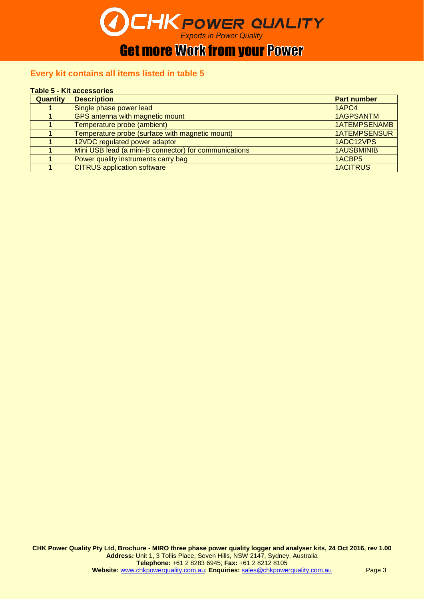

## **Get more Work from your Power**

#### **Every kit contains all items listed in table 5**

#### **Table 5 - Kit accessories**

| Quantity | <b>Description</b>                                    | <b>Part number</b>  |
|----------|-------------------------------------------------------|---------------------|
|          | Single phase power lead                               | 1APC4               |
|          | GPS antenna with magnetic mount                       | <b>1AGPSANTM</b>    |
|          | Temperature probe (ambient)                           | <b>1ATEMPSENAMB</b> |
|          | Temperature probe (surface with magnetic mount)       | <b>1ATEMPSENSUR</b> |
|          | 12VDC regulated power adaptor                         | 1ADC12VPS           |
|          | Mini USB lead (a mini-B connector) for communications | <b>1AUSBMINIB</b>   |
|          | Power quality instruments carry bag                   | 1ACBP5              |
|          | <b>CITRUS</b> application software                    | <b>1ACITRUS</b>     |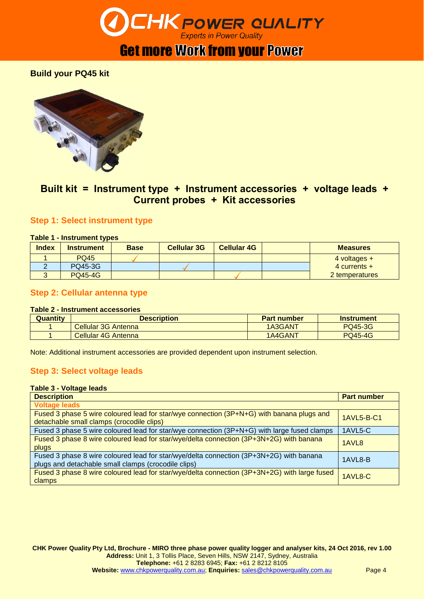

## **Get more Work from your Power**

#### **Build your PQ45 kit**



#### **Built kit = Instrument type + Instrument accessories + voltage leads + Current probes + Kit accessories**

#### **Step 1: Select instrument type**

#### **Table 1 - Instrument types**

| <b>Index</b> | <b>Instrument</b> | <b>Base</b> | <b>Cellular 3G</b> | <b>Cellular 4G</b> | <b>Measures</b> |
|--------------|-------------------|-------------|--------------------|--------------------|-----------------|
|              | <b>PQ45</b>       |             |                    |                    | 4 voltages $+$  |
|              | <b>PQ45-3G</b>    |             |                    |                    | 4 currents $+$  |
|              | <b>PQ45-4G</b>    |             |                    |                    | 2 temperatures  |

#### **Step 2: Cellular antenna type**

#### **Table 2 - Instrument accessories**

| <b>Quantity</b> | <b>Description</b>  | <b>Part number</b> | <b>Instrument</b> |
|-----------------|---------------------|--------------------|-------------------|
|                 | Cellular 3G Antenna | 1A3GANT            | <b>PQ45-3G</b>    |
|                 | Cellular 4G Antenna | 1A4GANT            | <b>PQ45-4G</b>    |

Note: Additional instrument accessories are provided dependent upon instrument selection.

#### **Step 3: Select voltage leads**

#### **Table 3 - Voltage leads**

| <b>Description</b>                                                                                                                             | <b>Part number</b> |
|------------------------------------------------------------------------------------------------------------------------------------------------|--------------------|
| <b>Voltage leads</b>                                                                                                                           |                    |
| Fused 3 phase 5 wire coloured lead for star/wye connection (3P+N+G) with banana plugs and<br>detachable small clamps (crocodile clips)         | 1AVL5-B-C1         |
| Fused 3 phase 5 wire coloured lead for star/wye connection (3P+N+G) with large fused clamps                                                    | 1AVL5-C            |
| Fused 3 phase 8 wire coloured lead for star/wye/delta connection (3P+3N+2G) with banana<br>plugs                                               | 1AVL <sub>8</sub>  |
| Fused 3 phase 8 wire coloured lead for star/wye/delta connection (3P+3N+2G) with banana<br>plugs and detachable small clamps (crocodile clips) | 1AVL8-B            |
| Fused 3 phase 8 wire coloured lead for star/wye/delta connection (3P+3N+2G) with large fused<br>clamps                                         | 1AVL8-C            |

**CHK Power Quality Pty Ltd, Brochure - MIRO three phase power quality logger and analyser kits, 24 Oct 2016, rev 1.00 Address:** Unit 1, 3 Tollis Place, Seven Hills, NSW 2147, Sydney, Australia **Telephone:** +61 2 8283 6945; **Fax:** +61 2 8212 8105